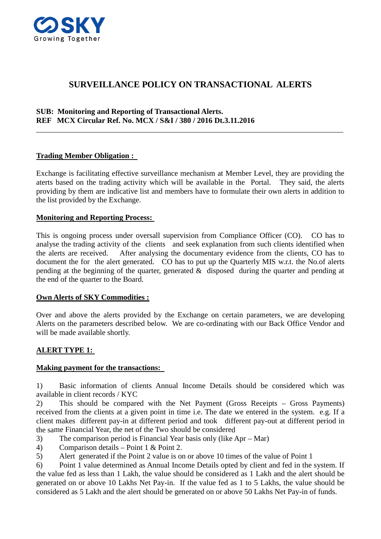

# **SURVEILLANCE POLICY ON TRANSACTIONAL ALERTS**

\_\_\_\_\_\_\_\_\_\_\_\_\_\_\_\_\_\_\_\_\_\_\_\_\_\_\_\_\_\_\_\_\_\_\_\_\_\_\_\_\_\_\_\_\_\_\_\_\_\_\_\_\_\_\_\_\_\_\_\_\_\_\_\_\_\_\_\_\_\_\_\_\_\_\_\_\_\_\_\_

### **SUB: Monitoring and Reporting of Transactional Alerts. REF MCX Circular Ref. No. MCX / S&I / 380 / 2016 Dt.3.11.2016**

### **Trading Member Obligation :**

Exchange is facilitating effective surveillance mechanism at Member Level, they are providing the aterts based on the trading activity which will be available in the Portal. They said, the alerts providing by them are indicative list and members have to formulate their own alerts in addition to the list provided by the Exchange.

#### **Monitoring and Reporting Process:**

This is ongoing process under oversall supervision from Compliance Officer (CO). CO has to analyse the trading activity of the clients and seek explanation from such clients identified when the alerts are received. After analysing the documentary evidence from the clients, CO has to document the for the alert generated. CO has to put up the Quarterly MIS w.r.t. the No.of alerts pending at the beginning of the quarter, generated & disposed during the quarter and pending at the end of the quarter to the Board.

#### **Own Alerts of SKY Commodities :**

Over and above the alerts provided by the Exchange on certain parameters, we are developing Alerts on the parameters described below. We are co-ordinating with our Back Office Vendor and will be made available shortly.

#### **ALERT TYPE 1:**

#### **Making payment for the transactions:**

1) Basic information of clients Annual Income Details should be considered which was available in client records / KYC

2) This should be compared with the Net Payment (Gross Receipts – Gross Payments) received from the clients at a given point in time i.e. The date we entered in the system. e.g. If a client makes different pay-in at different period and took different pay-out at different period in the same Financial Year, the net of the Two should be considered

- 3) The comparison period is Financial Year basis only (like Apr Mar)
- 4) Comparison details Point 1 & Point 2.
- 5) Alert generated if the Point 2 value is on or above 10 times of the value of Point 1

6) Point 1 value determined as Annual Income Details opted by client and fed in the system. If the value fed as less than 1 Lakh, the value should be considered as 1 Lakh and the alert should be generated on or above 10 Lakhs Net Pay-in. If the value fed as 1 to 5 Lakhs, the value should be considered as 5 Lakh and the alert should be generated on or above 50 Lakhs Net Pay-in of funds.